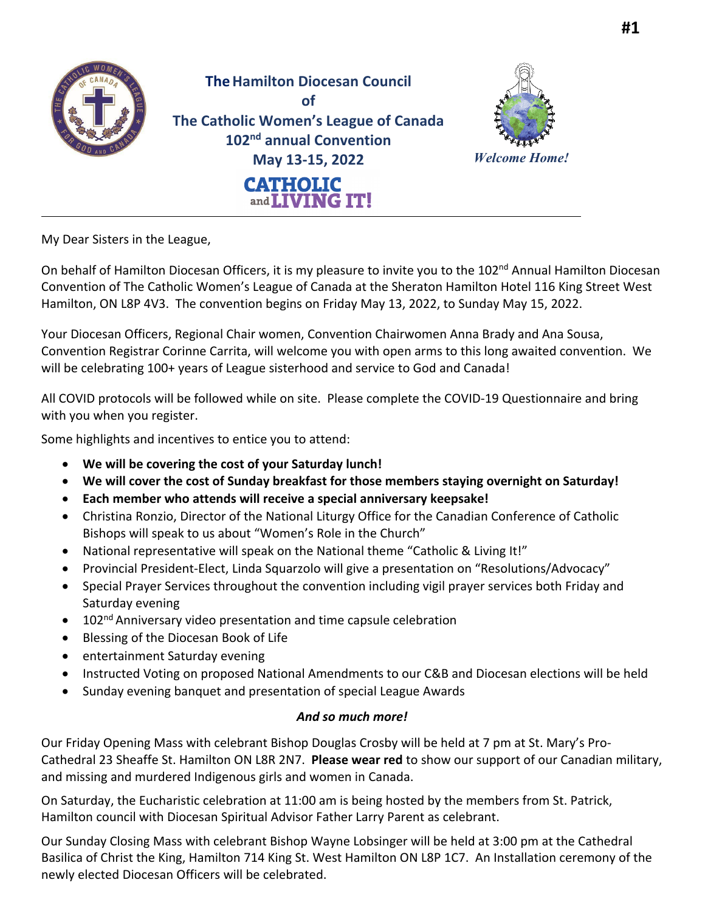

My Dear Sisters in the League,

On behalf of Hamilton Diocesan Officers, it is my pleasure to invite you to the 102<sup>nd</sup> Annual Hamilton Diocesan Convention of The Catholic Women's League of Canada at the Sheraton Hamilton Hotel 116 King Street West Hamilton, ON L8P 4V3. The convention begins on Friday May 13, 2022, to Sunday May 15, 2022.

Your Diocesan Officers, Regional Chair women, Convention Chairwomen Anna Brady and Ana Sousa, Convention Registrar Corinne Carrita, will welcome you with open arms to this long awaited convention. We will be celebrating 100+ years of League sisterhood and service to God and Canada!

All COVID protocols will be followed while on site. Please complete the COVID-19 Questionnaire and bring with you when you register.

Some highlights and incentives to entice you to attend:

- **We will be covering the cost of your Saturday lunch!**
- **We will cover the cost of Sunday breakfast for those members staying overnight on Saturday!**
- **Each member who attends will receive a special anniversary keepsake!**
- Christina Ronzio, Director of the National Liturgy Office for the Canadian Conference of Catholic Bishops will speak to us about "Women's Role in the Church"
- National representative will speak on the National theme "Catholic & Living It!"
- Provincial President-Elect, Linda Squarzolo will give a presentation on "Resolutions/Advocacy"
- Special Prayer Services throughout the convention including vigil prayer services both Friday and Saturday evening
- 102<sup>nd</sup> Anniversary video presentation and time capsule celebration
- Blessing of the Diocesan Book of Life
- entertainment Saturday evening
- Instructed Voting on proposed National Amendments to our C&B and Diocesan elections will be held
- Sunday evening banquet and presentation of special League Awards

## *And so much more!*

Our Friday Opening Mass with celebrant Bishop Douglas Crosby will be held at 7 pm at St. Mary's Pro-Cathedral 23 Sheaffe St. Hamilton ON L8R 2N7. **Please wear red** to show our support of our Canadian military, and missing and murdered Indigenous girls and women in Canada.

On Saturday, the Eucharistic celebration at 11:00 am is being hosted by the members from St. Patrick, Hamilton council with Diocesan Spiritual Advisor Father Larry Parent as celebrant.

Our Sunday Closing Mass with celebrant Bishop Wayne Lobsinger will be held at 3:00 pm at the Cathedral Basilica of Christ the King, Hamilton 714 King St. West Hamilton ON L8P 1C7. An Installation ceremony of the newly elected Diocesan Officers will be celebrated.